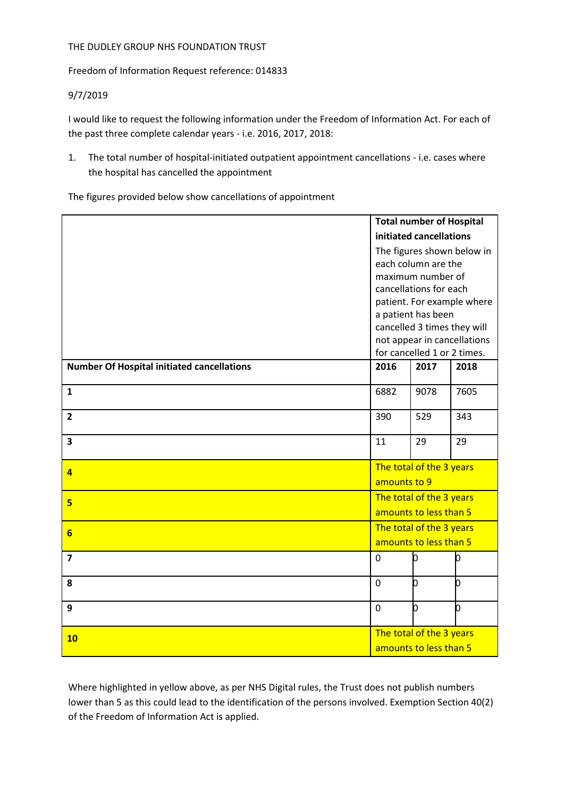## THE DUDLEY GROUP NHS FOUNDATION TRUST

Freedom of Information Request reference: 014833

## 9/7/2019

I would like to request the following information under the Freedom of Information Act. For each of the past three complete calendar years - i.e. 2016, 2017, 2018:

1. The total number of hospital-initiated outpatient appointment cancellations - i.e. cases where the hospital has cancelled the appointment

The figures provided below show cancellations of appointment

|                                                   | <b>Total number of Hospital</b>                    |      |      |
|---------------------------------------------------|----------------------------------------------------|------|------|
|                                                   | initiated cancellations                            |      |      |
|                                                   | The figures shown below in                         |      |      |
|                                                   | each column are the                                |      |      |
|                                                   | maximum number of                                  |      |      |
|                                                   | cancellations for each                             |      |      |
|                                                   | patient. For example where                         |      |      |
|                                                   | a patient has been<br>cancelled 3 times they will  |      |      |
|                                                   | not appear in cancellations                        |      |      |
|                                                   | for cancelled 1 or 2 times.                        |      |      |
| <b>Number Of Hospital initiated cancellations</b> | 2016                                               | 2017 | 2018 |
|                                                   |                                                    |      |      |
| $\mathbf{1}$                                      | 6882                                               | 9078 | 7605 |
|                                                   |                                                    |      |      |
| $\overline{2}$                                    | 390                                                | 529  | 343  |
| $\overline{\mathbf{3}}$                           | 11                                                 | 29   | 29   |
|                                                   |                                                    |      |      |
|                                                   | The total of the 3 years                           |      |      |
| $\overline{4}$                                    | amounts to 9                                       |      |      |
|                                                   | The total of the 3 years<br>amounts to less than 5 |      |      |
| $5\overline{)}$                                   |                                                    |      |      |
|                                                   | The total of the 3 years<br>amounts to less than 5 |      |      |
| $6 \overline{}$                                   |                                                    |      |      |
| $\overline{7}$                                    | $\mathbf 0$                                        | O    | n    |
|                                                   |                                                    |      |      |
| 8                                                 | $\overline{0}$                                     | b    | b    |
|                                                   |                                                    |      |      |
| 9                                                 | $\overline{0}$                                     | b    | b    |
|                                                   |                                                    |      |      |
| 10                                                | The total of the 3 years<br>amounts to less than 5 |      |      |
|                                                   |                                                    |      |      |

Where highlighted in yellow above, as per NHS Digital rules, the Trust does not publish numbers lower than 5 as this could lead to the identification of the persons involved. Exemption Section 40(2) of the Freedom of Information Act is applied.